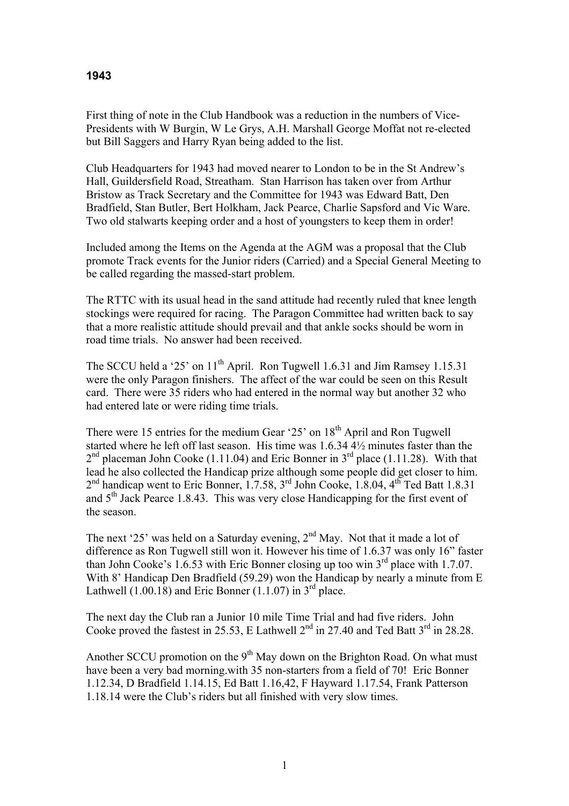## **1943**

First thing of note in the Club Handbook was a reduction in the numbers of Vice-Presidents with W Burgin, W Le Grys, A.H. Marshall George Moffat not re-elected but Bill Saggers and Harry Ryan being added to the list.

Club Headquarters for 1943 had moved nearer to London to be in the St Andrew's Hall, Guildersfield Road, Streatham. Stan Harrison has taken over from Arthur Bristow as Track Secretary and the Committee for 1943 was Edward Batt, Den Bradfield, Stan Butler, Bert Holkham, Jack Pearce, Charlie Sapsford and Vic Ware. Two old stalwarts keeping order and a host of youngsters to keep them in order!

Included among the Items on the Agenda at the AGM was a proposal that the Club promote Track events for the Junior riders (Carried) and a Special General Meeting to be called regarding the massed-start problem.

The RTTC with its usual head in the sand attitude had recently ruled that knee length stockings were required for racing. The Paragon Committee had written back to say that a more realistic attitude should prevail and that ankle socks should be worn in road time trials. No answer had been received.

The SCCU held a '25' on  $11<sup>th</sup>$  April. Ron Tugwell 1.6.31 and Jim Ramsey 1.15.31 were the only Paragon finishers. The affect of the war could be seen on this Result card. There were 35 riders who had entered in the normal way but another 32 who had entered late or were riding time trials.

There were 15 entries for the medium Gear '25' on 18<sup>th</sup> April and Ron Tugwell started where he left off last season. His time was 1.6.34 4½ minutes faster than the  $2<sup>nd</sup>$  placeman John Cooke (1.11.04) and Eric Bonner in  $3<sup>rd</sup>$  place (1.11.28). With that lead he also collected the Handicap prize although some people did get closer to him.  $2<sup>nd</sup>$  handicap went to Eric Bonner, 1.7.58, 3<sup>rd</sup> John Cooke, 1.8.04, 4<sup>th</sup> Ted Batt 1.8.31 and 5<sup>th</sup> Jack Pearce 1.8.43. This was very close Handicapping for the first event of the season.

The next '25' was held on a Saturday evening,  $2<sup>nd</sup>$  May. Not that it made a lot of difference as Ron Tugwell still won it. However his time of 1.6.37 was only 16" faster than John Cooke's 1.6.53 with Eric Bonner closing up too win  $3<sup>rd</sup>$  place with 1.7.07. With 8' Handicap Den Bradfield (59.29) won the Handicap by nearly a minute from E Lathwell  $(1.00.18)$  and Eric Bonner  $(1.1.07)$  in 3<sup>rd</sup> place.

The next day the Club ran a Junior 10 mile Time Trial and had five riders. John Cooke proved the fastest in 25.53, E Lathwell  $2^{nd}$  in 27.40 and Ted Batt  $3^{rd}$  in 28.28.

Another SCCU promotion on the  $9<sup>th</sup>$  May down on the Brighton Road. On what must have been a very bad morning.with 35 non-starters from a field of 70! Eric Bonner 1.12.34, D Bradfield 1.14.15, Ed Batt 1.16,42, F Hayward 1.17.54, Frank Patterson 1.18.14 were the Club's riders but all finished with very slow times.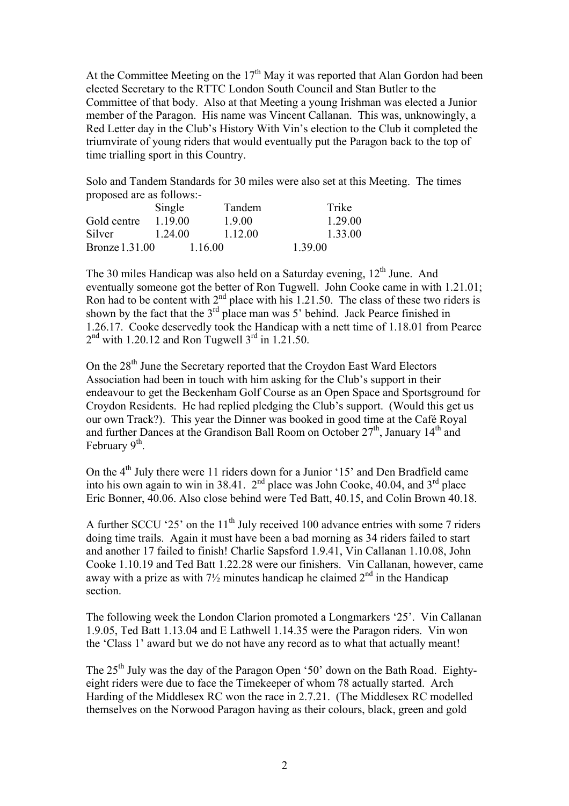At the Committee Meeting on the  $17<sup>th</sup>$  May it was reported that Alan Gordon had been elected Secretary to the RTTC London South Council and Stan Butler to the Committee of that body. Also at that Meeting a young Irishman was elected a Junior member of the Paragon. His name was Vincent Callanan. This was, unknowingly, a Red Letter day in the Club's History With Vin's election to the Club it completed the triumvirate of young riders that would eventually put the Paragon back to the top of time trialling sport in this Country.

Solo and Tandem Standards for 30 miles were also set at this Meeting. The times proposed are as follows:-

|                       | Single  | Tandem  | Trike   |
|-----------------------|---------|---------|---------|
| Gold centre           | 1 19 00 | 1900    | 1.29.00 |
| Silver                | 1.24.00 | 1.12.00 | 1.33.00 |
| <b>Bronze</b> 1.31.00 |         | 1.16.00 | 1.39.00 |

The 30 miles Handicap was also held on a Saturday evening,  $12<sup>th</sup>$  June. And eventually someone got the better of Ron Tugwell. John Cooke came in with 1.21.01; Ron had to be content with  $2<sup>nd</sup>$  place with his 1.21.50. The class of these two riders is shown by the fact that the  $3<sup>rd</sup>$  place man was 5' behind. Jack Pearce finished in 1.26.17. Cooke deservedly took the Handicap with a nett time of 1.18.01 from Pearce  $2<sup>nd</sup>$  with 1.20.12 and Ron Tugwell  $3<sup>rd</sup>$  in 1.21.50.

On the 28<sup>th</sup> June the Secretary reported that the Croydon East Ward Electors Association had been in touch with him asking for the Club's support in their endeavour to get the Beckenham Golf Course as an Open Space and Sportsground for Croydon Residents. He had replied pledging the Club's support. (Would this get us our own Track?). This year the Dinner was booked in good time at the Café Royal and further Dances at the Grandison Ball Room on October  $27<sup>th</sup>$ , January  $14<sup>th</sup>$  and February  $9<sup>th</sup>$ .

On the  $4<sup>th</sup>$  July there were 11 riders down for a Junior '15' and Den Bradfield came into his own again to win in 38.41.  $2<sup>nd</sup>$  place was John Cooke, 40.04, and  $3<sup>rd</sup>$  place Eric Bonner, 40.06. Also close behind were Ted Batt, 40.15, and Colin Brown 40.18.

A further SCCU '25' on the  $11<sup>th</sup>$  July received 100 advance entries with some 7 riders doing time trails. Again it must have been a bad morning as 34 riders failed to start and another 17 failed to finish! Charlie Sapsford 1.9.41, Vin Callanan 1.10.08, John Cooke 1.10.19 and Ted Batt 1.22.28 were our finishers. Vin Callanan, however, came away with a prize as with  $7\frac{1}{2}$  minutes handicap he claimed  $2^{nd}$  in the Handicap section.

The following week the London Clarion promoted a Longmarkers '25'. Vin Callanan 1.9.05, Ted Batt 1.13.04 and E Lathwell 1.14.35 were the Paragon riders. Vin won the 'Class 1' award but we do not have any record as to what that actually meant!

The  $25<sup>th</sup>$  July was the day of the Paragon Open '50' down on the Bath Road. Eightyeight riders were due to face the Timekeeper of whom 78 actually started. Arch Harding of the Middlesex RC won the race in 2.7.21. (The Middlesex RC modelled themselves on the Norwood Paragon having as their colours, black, green and gold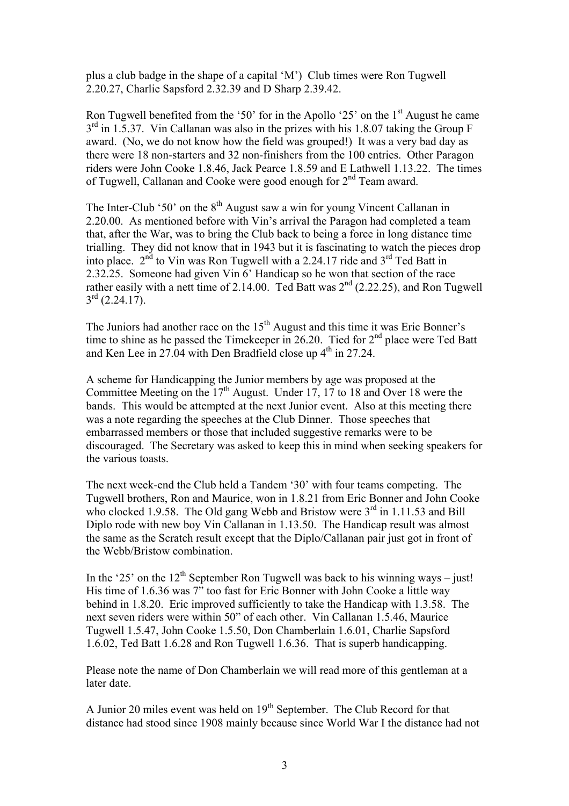plus a club badge in the shape of a capital 'M') Club times were Ron Tugwell 2.20.27, Charlie Sapsford 2.32.39 and D Sharp 2.39.42.

Ron Tugwell benefited from the '50' for in the Apollo '25' on the  $1<sup>st</sup>$  August he came  $3<sup>rd</sup>$  in 1.5.37. Vin Callanan was also in the prizes with his 1.8.07 taking the Group F award. (No, we do not know how the field was grouped!) It was a very bad day as there were 18 non-starters and 32 non-finishers from the 100 entries. Other Paragon riders were John Cooke 1.8.46, Jack Pearce 1.8.59 and E Lathwell 1.13.22. The times of Tugwell, Callanan and Cooke were good enough for 2<sup>nd</sup> Team award.

The Inter-Club '50' on the  $8<sup>th</sup>$  August saw a win for young Vincent Callanan in 2.20.00. As mentioned before with Vin's arrival the Paragon had completed a team that, after the War, was to bring the Club back to being a force in long distance time trialling. They did not know that in 1943 but it is fascinating to watch the pieces drop into place.  $2<sup>nd</sup>$  to Vin was Ron Tugwell with a 2.24.17 ride and  $3<sup>rd</sup>$  Ted Batt in 2.32.25. Someone had given Vin 6' Handicap so he won that section of the race rather easily with a nett time of 2.14.00. Ted Batt was  $2<sup>nd</sup>$  (2.22.25), and Ron Tugwell  $3^{\text{rd}}$  (2.24.17).

The Juniors had another race on the  $15<sup>th</sup>$  August and this time it was Eric Bonner's time to shine as he passed the Timekeeper in 26.20. Tied for  $2<sup>nd</sup>$  place were Ted Batt and Ken Lee in 27.04 with Den Bradfield close up  $4<sup>th</sup>$  in 27.24.

A scheme for Handicapping the Junior members by age was proposed at the Committee Meeting on the  $17<sup>th</sup>$  August. Under 17, 17 to 18 and Over 18 were the bands. This would be attempted at the next Junior event. Also at this meeting there was a note regarding the speeches at the Club Dinner. Those speeches that embarrassed members or those that included suggestive remarks were to be discouraged. The Secretary was asked to keep this in mind when seeking speakers for the various toasts.

The next week-end the Club held a Tandem '30' with four teams competing. The Tugwell brothers, Ron and Maurice, won in 1.8.21 from Eric Bonner and John Cooke who clocked 1.9.58. The Old gang Webb and Bristow were  $3<sup>rd</sup>$  in 1.11.53 and Bill Diplo rode with new boy Vin Callanan in 1.13.50. The Handicap result was almost the same as the Scratch result except that the Diplo/Callanan pair just got in front of the Webb/Bristow combination.

In the '25' on the  $12<sup>th</sup>$  September Ron Tugwell was back to his winning ways – just! His time of 1.6.36 was 7" too fast for Eric Bonner with John Cooke a little way behind in 1.8.20. Eric improved sufficiently to take the Handicap with 1.3.58. The next seven riders were within 50" of each other. Vin Callanan 1.5.46, Maurice Tugwell 1.5.47, John Cooke 1.5.50, Don Chamberlain 1.6.01, Charlie Sapsford 1.6.02, Ted Batt 1.6.28 and Ron Tugwell 1.6.36. That is superb handicapping.

Please note the name of Don Chamberlain we will read more of this gentleman at a later date.

A Junior 20 miles event was held on 19<sup>th</sup> September. The Club Record for that distance had stood since 1908 mainly because since World War I the distance had not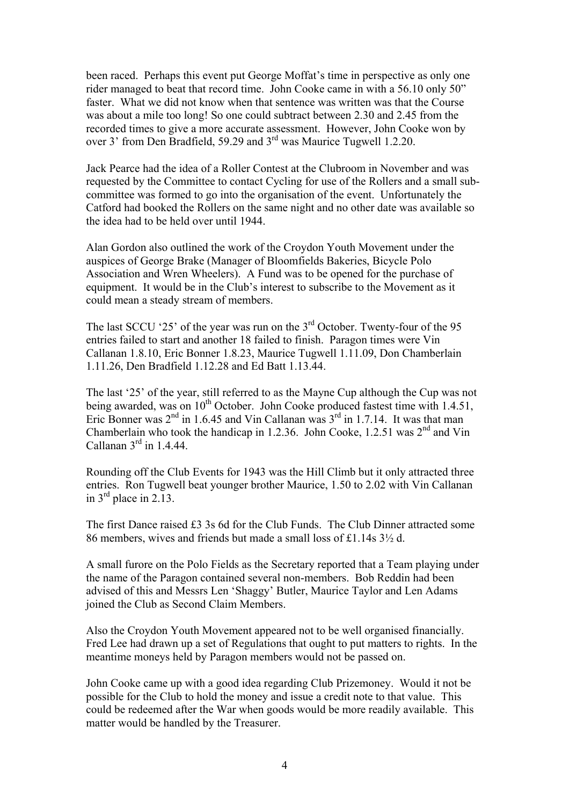been raced. Perhaps this event put George Moffat's time in perspective as only one rider managed to beat that record time. John Cooke came in with a 56.10 only 50" faster. What we did not know when that sentence was written was that the Course was about a mile too long! So one could subtract between 2.30 and 2.45 from the recorded times to give a more accurate assessment. However, John Cooke won by over 3' from Den Bradfield, 59.29 and 3rd was Maurice Tugwell 1.2.20.

Jack Pearce had the idea of a Roller Contest at the Clubroom in November and was requested by the Committee to contact Cycling for use of the Rollers and a small subcommittee was formed to go into the organisation of the event. Unfortunately the Catford had booked the Rollers on the same night and no other date was available so the idea had to be held over until 1944.

Alan Gordon also outlined the work of the Croydon Youth Movement under the auspices of George Brake (Manager of Bloomfields Bakeries, Bicycle Polo Association and Wren Wheelers). A Fund was to be opened for the purchase of equipment. It would be in the Club's interest to subscribe to the Movement as it could mean a steady stream of members.

The last SCCU '25' of the year was run on the  $3<sup>rd</sup>$  October. Twenty-four of the 95 entries failed to start and another 18 failed to finish. Paragon times were Vin Callanan 1.8.10, Eric Bonner 1.8.23, Maurice Tugwell 1.11.09, Don Chamberlain 1.11.26, Den Bradfield 1.12.28 and Ed Batt 1.13.44.

The last '25' of the year, still referred to as the Mayne Cup although the Cup was not being awarded, was on 10<sup>th</sup> October. John Cooke produced fastest time with 1.4.51, Eric Bonner was  $2<sup>nd</sup>$  in 1.6.45 and Vin Callanan was  $3<sup>rd</sup>$  in 1.7.14. It was that man Chamberlain who took the handicap in 1.2.36. John Cooke, 1.2.51 was  $2<sup>nd</sup>$  and Vin Callanan  $3<sup>rd</sup>$  in 1.4.44.

Rounding off the Club Events for 1943 was the Hill Climb but it only attracted three entries. Ron Tugwell beat younger brother Maurice, 1.50 to 2.02 with Vin Callanan in  $3<sup>rd</sup>$  place in 2.13.

The first Dance raised £3 3s 6d for the Club Funds. The Club Dinner attracted some 86 members, wives and friends but made a small loss of £1.14s 3½ d.

A small furore on the Polo Fields as the Secretary reported that a Team playing under the name of the Paragon contained several non-members. Bob Reddin had been advised of this and Messrs Len 'Shaggy' Butler, Maurice Taylor and Len Adams joined the Club as Second Claim Members.

Also the Croydon Youth Movement appeared not to be well organised financially. Fred Lee had drawn up a set of Regulations that ought to put matters to rights. In the meantime moneys held by Paragon members would not be passed on.

John Cooke came up with a good idea regarding Club Prizemoney. Would it not be possible for the Club to hold the money and issue a credit note to that value. This could be redeemed after the War when goods would be more readily available. This matter would be handled by the Treasurer.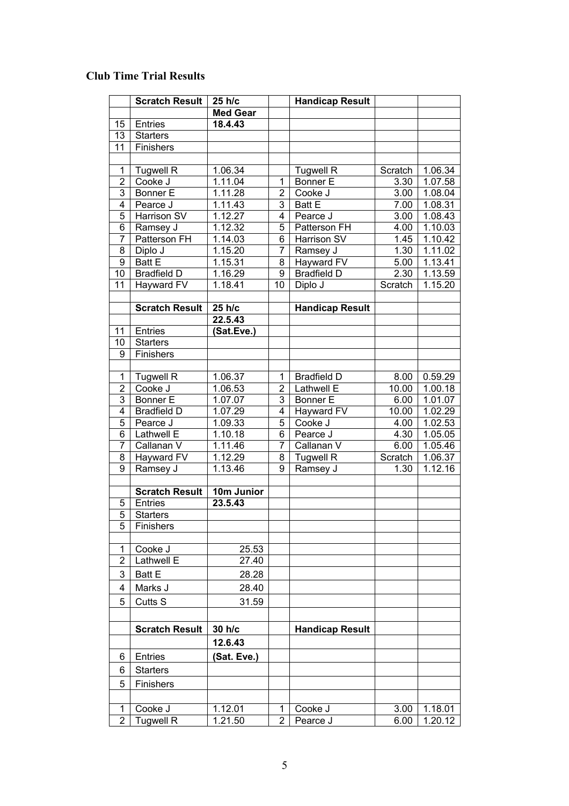## **Club Time Trial Results**

|                | <b>Scratch Result</b> | 25 h/c          |                | <b>Handicap Result</b> |               |         |
|----------------|-----------------------|-----------------|----------------|------------------------|---------------|---------|
|                |                       | <b>Med Gear</b> |                |                        |               |         |
| 15             | Entries               | 18.4.43         |                |                        |               |         |
| 13             | <b>Starters</b>       |                 |                |                        |               |         |
| 11             | Finishers             |                 |                |                        |               |         |
|                |                       |                 |                |                        |               |         |
| 1              | <b>Tugwell R</b>      | 1.06.34         |                | <b>Tugwell R</b>       | Scratch       | 1.06.34 |
| $\overline{2}$ | Cooke J               | 1.11.04         | 1              | <b>Bonner E</b>        | 3.30          | 1.07.58 |
| 3              | <b>Bonner E</b>       | 1.11.28         | $\overline{2}$ | Cooke J                | 3.00          | 1.08.04 |
| 4              | Pearce J              | 1.11.43         | 3              | <b>Batt E</b>          | 7.00          | 1.08.31 |
| $\overline{5}$ | Harrison SV           | 1.12.27         | 4              | Pearce J               | 3.00          | 1.08.43 |
| 6              | Ramsey J              | 1.12.32         | 5              | Patterson FH           | 4.00          | 1.10.03 |
| 7              | Patterson FH          | 1.14.03         | 6              | Harrison SV            | 1.45          | 1.10.42 |
| 8              | Diplo J               | 1.15.20         | 7              | Ramsey J               | 1.30          | 1.11.02 |
| 9              | <b>Batt E</b>         | 1.15.31         | 8              | Hayward FV             | 5.00          | 1.13.41 |
| 10             | <b>Bradfield D</b>    | 1.16.29         | 9              | <b>Bradfield D</b>     | 2.30          | 1.13.59 |
| 11             | Hayward FV            | 1.18.41         | 10             | Diplo J                | Scratch       | 1.15.20 |
|                |                       |                 |                |                        |               |         |
|                | <b>Scratch Result</b> | 25 h/c          |                | <b>Handicap Result</b> |               |         |
|                |                       | 22.5.43         |                |                        |               |         |
| 11             | <b>Entries</b>        | (Sat.Eve.)      |                |                        |               |         |
| 10             | <b>Starters</b>       |                 |                |                        |               |         |
| 9              | Finishers             |                 |                |                        |               |         |
|                | Tugwell R             | 1.06.37         | 1              | <b>Bradfield D</b>     | 8.00          | 0.59.29 |
| 1<br>2         | Cooke J               | 1.06.53         | $\overline{2}$ | Lathwell E             |               | 1.00.18 |
| 3              | <b>Bonner E</b>       | 1.07.07         | 3              | Bonner E               | 10.00         | 1.01.07 |
| 4              | <b>Bradfield D</b>    | 1.07.29         | 4              |                        | 6.00          | 1.02.29 |
| 5              | Pearce J              | 1.09.33         | 5              | Hayward FV<br>Cooke J  | 10.00<br>4.00 | 1.02.53 |
| 6              | Lathwell E            | 1.10.18         | 6              | Pearce J               | 4.30          | 1.05.05 |
| 7              | Callanan V            | 1.11.46         | 7              | Callanan V             | 6.00          | 1.05.46 |
| 8              | Hayward FV            | 1.12.29         | 8              | <b>Tugwell R</b>       | Scratch       | 1.06.37 |
| 9              | Ramsey J              | 1.13.46         | 9              | Ramsey J               | 1.30          | 1.12.16 |
|                |                       |                 |                |                        |               |         |
|                | <b>Scratch Result</b> | 10m Junior      |                |                        |               |         |
| 5              | <b>Entries</b>        | 23.5.43         |                |                        |               |         |
| 5              | <b>Starters</b>       |                 |                |                        |               |         |
| 5              | Finishers             |                 |                |                        |               |         |
|                |                       |                 |                |                        |               |         |
| 1              | Cooke J               | 25.53           |                |                        |               |         |
| 2              | Lathwell E            | 27.40           |                |                        |               |         |
| 3              | <b>Batt E</b>         | 28.28           |                |                        |               |         |
| 4              | Marks J               | 28.40           |                |                        |               |         |
| 5              | Cutts S               | 31.59           |                |                        |               |         |
|                |                       |                 |                |                        |               |         |
|                |                       |                 |                |                        |               |         |
|                | <b>Scratch Result</b> | 30 h/c          |                | <b>Handicap Result</b> |               |         |
|                |                       | 12.6.43         |                |                        |               |         |
| 6              | <b>Entries</b>        | (Sat. Eve.)     |                |                        |               |         |
| 6              | <b>Starters</b>       |                 |                |                        |               |         |
| 5              | Finishers             |                 |                |                        |               |         |
|                |                       |                 |                |                        |               |         |
| 1              | Cooke J               | 1.12.01         | 1              | Cooke J                | 3.00          | 1.18.01 |
| $\overline{2}$ | <b>Tugwell R</b>      | 1.21.50         | $\overline{2}$ | Pearce J               | 6.00          | 1.20.12 |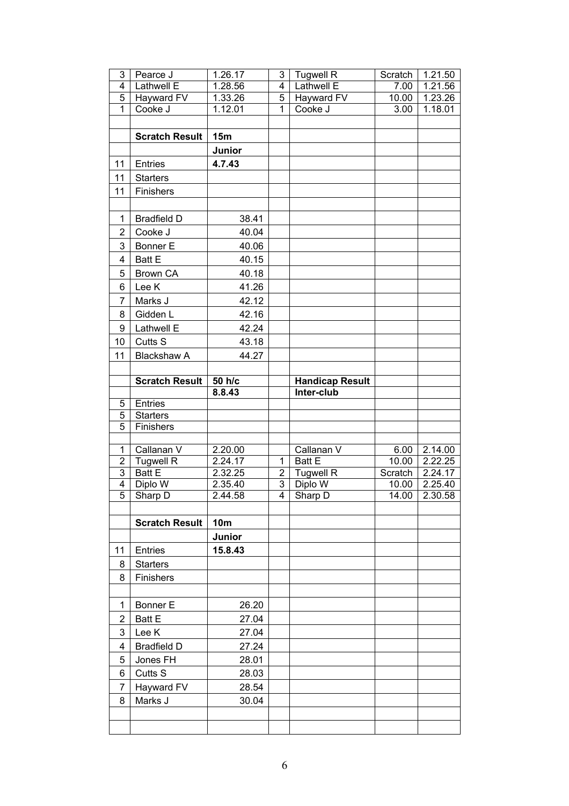| 3                   | Pearce J                       | 1.26.17            | 3                       | <b>Tugwell R</b>            | Scratch       | 1.21.50            |
|---------------------|--------------------------------|--------------------|-------------------------|-----------------------------|---------------|--------------------|
| 4                   | Lathwell E                     | 1.28.56            | $\overline{\mathbf{4}}$ | <b>Lathwell E</b>           | 7.00          | 1.21.56            |
| 5                   | Hayward FV                     | 1.33.26            | 5                       | <b>Hayward FV</b>           | 10.00         | 1.23.26            |
| $\overline{1}$      | Cooke J                        | 1.12.01            | $\overline{1}$          | Cooke J                     | 3.00          | 1.18.01            |
|                     |                                |                    |                         |                             |               |                    |
|                     | <b>Scratch Result</b>          | 15m                |                         |                             |               |                    |
|                     |                                | Junior             |                         |                             |               |                    |
| 11                  | Entries                        | 4.7.43             |                         |                             |               |                    |
| 11                  | <b>Starters</b>                |                    |                         |                             |               |                    |
| 11                  | Finishers                      |                    |                         |                             |               |                    |
|                     |                                |                    |                         |                             |               |                    |
| $\mathbf{1}$        | <b>Bradfield D</b>             | 38.41              |                         |                             |               |                    |
| $\overline{2}$      | Cooke J                        | 40.04              |                         |                             |               |                    |
| 3                   | <b>Bonner E</b>                | 40.06              |                         |                             |               |                    |
|                     | <b>Batt E</b>                  | 40.15              |                         |                             |               |                    |
| 4                   |                                |                    |                         |                             |               |                    |
| 5                   | <b>Brown CA</b>                | 40.18              |                         |                             |               |                    |
| 6                   | Lee K                          | 41.26              |                         |                             |               |                    |
| 7                   | Marks J                        | 42.12              |                         |                             |               |                    |
| 8                   | Gidden L                       | 42.16              |                         |                             |               |                    |
| 9                   | Lathwell E                     | 42.24              |                         |                             |               |                    |
| 10                  | Cutts S                        | 43.18              |                         |                             |               |                    |
| 11                  | <b>Blackshaw A</b>             | 44.27              |                         |                             |               |                    |
|                     |                                |                    |                         |                             |               |                    |
|                     | <b>Scratch Result</b>          | 50 h/c             |                         | <b>Handicap Result</b>      |               |                    |
|                     |                                | 8.8.43             |                         | Inter-club                  |               |                    |
| 5                   | Entries                        |                    |                         |                             |               |                    |
|                     |                                |                    |                         |                             |               |                    |
| 5                   | <b>Starters</b>                |                    |                         |                             |               |                    |
| 5                   | Finishers                      |                    |                         |                             |               |                    |
|                     |                                |                    |                         |                             |               |                    |
| 1<br>$\overline{2}$ | Callanan V<br><b>Tugwell R</b> | 2.20.00<br>2.24.17 | $\mathbf{1}$            | Callanan V<br><b>Batt E</b> | 6.00<br>10.00 | 2.14.00<br>2.22.25 |
| 3                   | <b>Batt E</b>                  | 2.32.25            | $\mathbf{2}$            | <b>Tugwell R</b>            | Scratch       | 2.24.17            |
| 4                   | Diplo W                        | 2.35.40            | 3                       | Diplo W                     | 10.00         | 2.25.40            |
| 5                   | Sharp D                        | 2.44.58            | $\overline{4}$          | Sharp D                     | 14.00         | 2.30.58            |
|                     |                                |                    |                         |                             |               |                    |
|                     | <b>Scratch Result</b>          | <b>10m</b>         |                         |                             |               |                    |
|                     |                                | Junior             |                         |                             |               |                    |
| 11                  | Entries                        | 15.8.43            |                         |                             |               |                    |
| 8                   | <b>Starters</b>                |                    |                         |                             |               |                    |
| 8                   | Finishers                      |                    |                         |                             |               |                    |
|                     |                                |                    |                         |                             |               |                    |
| 1                   | <b>Bonner E</b>                | 26.20              |                         |                             |               |                    |
|                     |                                |                    |                         |                             |               |                    |
| $\overline{2}$      | <b>Batt E</b>                  | 27.04              |                         |                             |               |                    |
| 3                   | Lee K                          | 27.04              |                         |                             |               |                    |
| 4                   | <b>Bradfield D</b>             | 27.24              |                         |                             |               |                    |
| 5                   | Jones FH                       | 28.01              |                         |                             |               |                    |
| 6                   | Cutts S                        | 28.03              |                         |                             |               |                    |
| $\overline{7}$      | Hayward FV                     | 28.54              |                         |                             |               |                    |
| 8                   | Marks J                        | 30.04              |                         |                             |               |                    |
|                     |                                |                    |                         |                             |               |                    |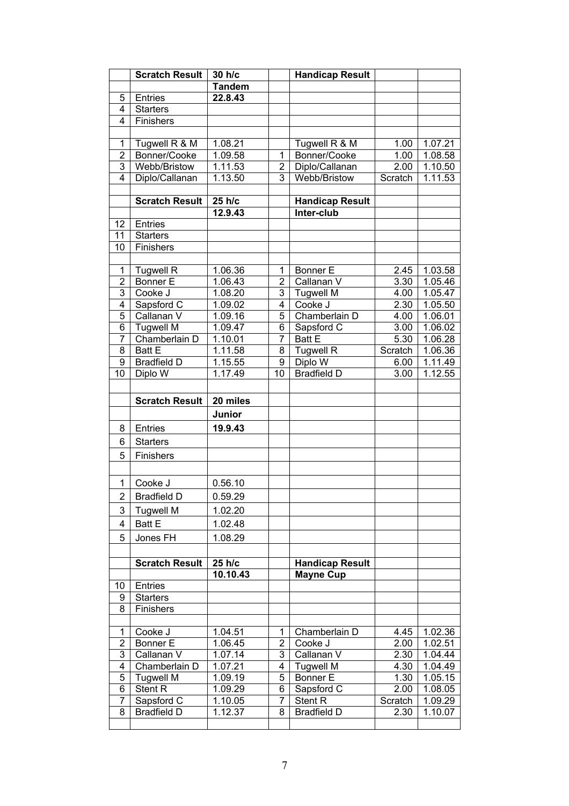|                 | <b>Scratch Result</b> | 30 h/c        |                | <b>Handicap Result</b> |         |                      |
|-----------------|-----------------------|---------------|----------------|------------------------|---------|----------------------|
|                 |                       | <b>Tandem</b> |                |                        |         |                      |
| 5               | Entries               | 22.8.43       |                |                        |         |                      |
| 4               | <b>Starters</b>       |               |                |                        |         |                      |
| 4               | Finishers             |               |                |                        |         |                      |
|                 |                       |               |                |                        |         |                      |
| 1               | Tugwell R & M         | 1.08.21       |                | Tugwell R & M          | 1.00    | 1.07.21              |
| $\overline{2}$  | Bonner/Cooke          | 1.09.58       | $\mathbf{1}$   | Bonner/Cooke           | 1.00    | 1.08.58              |
| 3               | Webb/Bristow          | 1.11.53       | $\overline{2}$ | Diplo/Callanan         | 2.00    | 1.10.50              |
| 4               | Diplo/Callanan        | 1.13.50       | 3              | Webb/Bristow           | Scratch | 1.11.53              |
|                 |                       |               |                |                        |         |                      |
|                 | <b>Scratch Result</b> | 25 h/c        |                | <b>Handicap Result</b> |         |                      |
|                 |                       | 12.9.43       |                | Inter-club             |         |                      |
| 12 <sub>2</sub> | Entries               |               |                |                        |         |                      |
| 11              | <b>Starters</b>       |               |                |                        |         |                      |
| 10              | Finishers             |               |                |                        |         |                      |
|                 |                       |               |                |                        |         |                      |
| $\mathbf{1}$    | <b>Tugwell R</b>      | 1.06.36       | 1              | <b>Bonner E</b>        | 2.45    | 1.03.58              |
| $\overline{2}$  | <b>Bonner E</b>       | 1.06.43       | $\overline{2}$ | Callanan V             | 3.30    | 1.05.46              |
| 3               | Cooke J               | 1.08.20       | 3              | <b>Tugwell M</b>       | 4.00    | $1.05.\overline{47}$ |
| 4               | Sapsford C            | 1.09.02       | 4              | Cooke J                | 2.30    | 1.05.50              |
| $\overline{5}$  | Callanan V            | 1.09.16       | $\overline{5}$ | Chamberlain D          | 4.00    | 1.06.01              |
| $\overline{6}$  | <b>Tugwell M</b>      | 1.09.47       | 6              | Sapsford C             | 3.00    | 1.06.02              |
| $\overline{7}$  | Chamberlain D         | 1.10.01       | $\overline{7}$ | <b>Batt E</b>          | 5.30    | 1.06.28              |
| $\overline{8}$  | <b>Batt E</b>         | 1.11.58       | 8              | <b>Tugwell R</b>       | Scratch | 1.06.36              |
| 9               | <b>Bradfield D</b>    | 1.15.55       | 9              | Diplo W                | 6.00    | 1.11.49              |
| 10              | Diplo W               | 1.17.49       | 10             | <b>Bradfield D</b>     | 3.00    | 1.12.55              |
|                 |                       |               |                |                        |         |                      |
|                 | <b>Scratch Result</b> | 20 miles      |                |                        |         |                      |
|                 |                       |               |                |                        |         |                      |
|                 |                       | Junior        |                |                        |         |                      |
| 8               | Entries               | 19.9.43       |                |                        |         |                      |
| 6               | <b>Starters</b>       |               |                |                        |         |                      |
| 5               | Finishers             |               |                |                        |         |                      |
|                 |                       |               |                |                        |         |                      |
| 1               | Cooke J               | 0.56.10       |                |                        |         |                      |
|                 |                       |               |                |                        |         |                      |
| $\overline{2}$  | <b>Bradfield D</b>    | 0.59.29       |                |                        |         |                      |
| 3               | <b>Tugwell M</b>      | 1.02.20       |                |                        |         |                      |
| 4               | <b>Batt E</b>         | 1.02.48       |                |                        |         |                      |
| 5               | Jones FH              | 1.08.29       |                |                        |         |                      |
|                 |                       |               |                |                        |         |                      |
|                 | <b>Scratch Result</b> | 25 h/c        |                | <b>Handicap Result</b> |         |                      |
|                 |                       | 10.10.43      |                | <b>Mayne Cup</b>       |         |                      |
| 10              | Entries               |               |                |                        |         |                      |
| 9               | <b>Starters</b>       |               |                |                        |         |                      |
| 8               | Finishers             |               |                |                        |         |                      |
|                 |                       |               |                |                        |         |                      |
| $\mathbf{1}$    | Cooke J               | 1.04.51       | 1              | Chamberlain D          | 4.45    | 1.02.36              |
| $\overline{2}$  | <b>Bonner E</b>       | 1.06.45       | $\overline{2}$ | Cooke J                | 2.00    | 1.02.51              |
| 3               | Callanan V            | 1.07.14       | 3              | Callanan V             | 2.30    | 1.04.44              |
| 4               | Chamberlain D         | 1.07.21       | 4              | <b>Tugwell M</b>       | 4.30    | 1.04.49              |
| $\overline{5}$  | <b>Tugwell M</b>      | 1.09.19       | 5              | Bonner E               | 1.30    | 1.05.15              |
| 6               | Stent R               | 1.09.29       | 6              | Sapsford C             | 2.00    | 1.08.05              |
| 7               | Sapsford C            | 1.10.05       | 7              | Stent R                | Scratch | 1.09.29              |
| 8               | <b>Bradfield D</b>    | 1.12.37       | 8              | <b>Bradfield D</b>     | 2.30    | 1.10.07              |
|                 |                       |               |                |                        |         |                      |
|                 |                       |               |                |                        |         |                      |